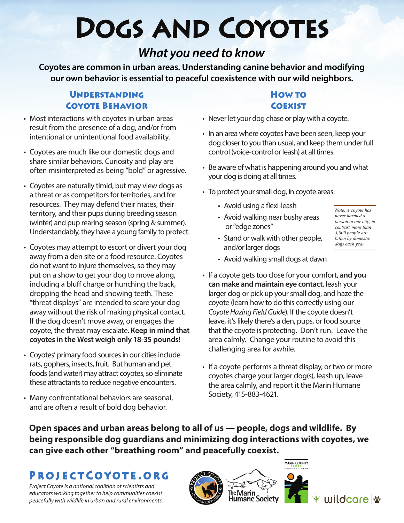# Dogs and Coyotes

# *What you need to know*

**Coyotes are common in urban areas. Understanding canine behavior and modifying our own behavior is essential to peaceful coexistence with our wild neighbors.** 

## **UNDERSTANDING** Coyote Behavior

- Most interactions with coyotes in urban areas result from the presence of a dog, and/or from intentional or unintentional food availability.
- Coyotes are much like our domestic dogs and share similar behaviors. Curiosity and play are often misinterpreted as being "bold" or agressive.
- Coyotes are naturally timid, but may view dogs as a threat or as competitors for territories, and for resources. They may defend their mates, their territory, and their pups during breeding season (winter) and pup rearing season (spring & summer). Understandably, they have a young family to protect.
- Coyotes may attempt to escort or divert your dog away from a den site or a food resource. Coyotes do not want to injure themselves, so they may put on a show to get your dog to move along, including a bluff charge or hunching the back, dropping the head and showing teeth. These "threat displays" are intended to scare your dog away without the risk of making physical contact. If the dog doesn't move away, or engages the coyote, the threat may escalate. **Keep in mind that coyotes in the West weigh only 18-35 pounds!**
- Coyotes' primary food sources in our cities include rats, gophers, insects, fruit. But human and pet foods (and water) may attract coyotes, so eliminate these attractants to reduce negative encounters.
- Many confrontational behaviors are seasonal, and are often a result of bold dog behavior.

## **HOW TO COEXIST**

- Never let your dog chase or play with a coyote.
- In an area where coyotes have been seen, keep your dog closer to you than usual, and keep them under full control (voice-control or leash) at all times.
- Be aware of what is happening around you and what your dog is doing at all times.
- To protect your small dog, in coyote areas:
	- Avoid using a flexi-leash

and/or larger dogs

• Avoid walking near bushy areas or "edge zones"

• Stand or walk with other people,

*Note: A coyote has never harmed a person in our city; in contrast, more than 3,000 people are bitten by domestic dogs each year.* 

- Avoid walking small dogs at dawn
- If a coyote gets too close for your comfort, **and you can make and maintain eye contact**, leash your larger dog or pick up your small dog, and haze the coyote (learn how to do this correctly using our *Coyote Hazing Field Guide*). If the coyote doesn't leave, it's likely there's a den, pups, or food source that the coyote is protecting. Don't run. Leave the area calmly. Change your routine to avoid this challenging area for awhile.
- If a coyote performs a threat display, or two or more coyotes charge your larger dog(s), leash up, leave the area calmly, and report it the Marin Humane Society, 415-883-4621.

**Open spaces and urban areas belong to all of us — people, dogs and wildlife. By being responsible dog guardians and minimizing dog interactions with coyotes, we can give each other "breathing room" and peacefully coexist.**

# ProjectCoyote.org

*Project Coyote is a national coalition of scientists and educators working together to help communities coexist peacefully with wildlife in urban and rural environments.*



小家



vluuildcorel \*